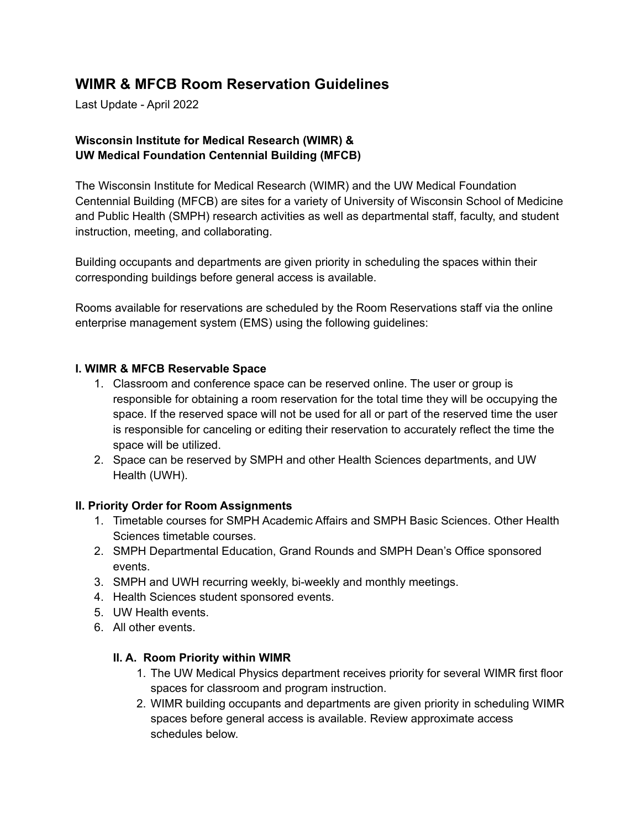# **WIMR & MFCB Room Reservation Guidelines**

Last Update - April 2022

## **Wisconsin Institute for Medical Research (WIMR) & UW Medical Foundation Centennial Building (MFCB)**

The Wisconsin Institute for Medical Research (WIMR) and the UW Medical Foundation Centennial Building (MFCB) are sites for a variety of University of Wisconsin School of Medicine and Public Health (SMPH) research activities as well as departmental staff, faculty, and student instruction, meeting, and collaborating.

Building occupants and departments are given priority in scheduling the spaces within their corresponding buildings before general access is available.

Rooms available for reservations are scheduled by the Room Reservations staff via the online enterprise management system (EMS) using the following guidelines:

#### **I. WIMR & MFCB Reservable Space**

- 1. Classroom and conference space can be reserved online. The user or group is responsible for obtaining a room reservation for the total time they will be occupying the space. If the reserved space will not be used for all or part of the reserved time the user is responsible for canceling or editing their reservation to accurately reflect the time the space will be utilized.
- 2. Space can be reserved by SMPH and other Health Sciences departments, and UW Health (UWH).

## **II. Priority Order for Room Assignments**

- 1. Timetable courses for SMPH Academic Affairs and SMPH Basic Sciences. Other Health Sciences timetable courses.
- 2. SMPH Departmental Education, Grand Rounds and SMPH Dean's Office sponsored events.
- 3. SMPH and UWH recurring weekly, bi-weekly and monthly meetings.
- 4. Health Sciences student sponsored events.
- 5. UW Health events.
- 6. All other events.

## **II. A. Room Priority within WIMR**

- 1. The UW Medical Physics department receives priority for several WIMR first floor spaces for classroom and program instruction.
- 2. WIMR building occupants and departments are given priority in scheduling WIMR spaces before general access is available. Review approximate access schedules below.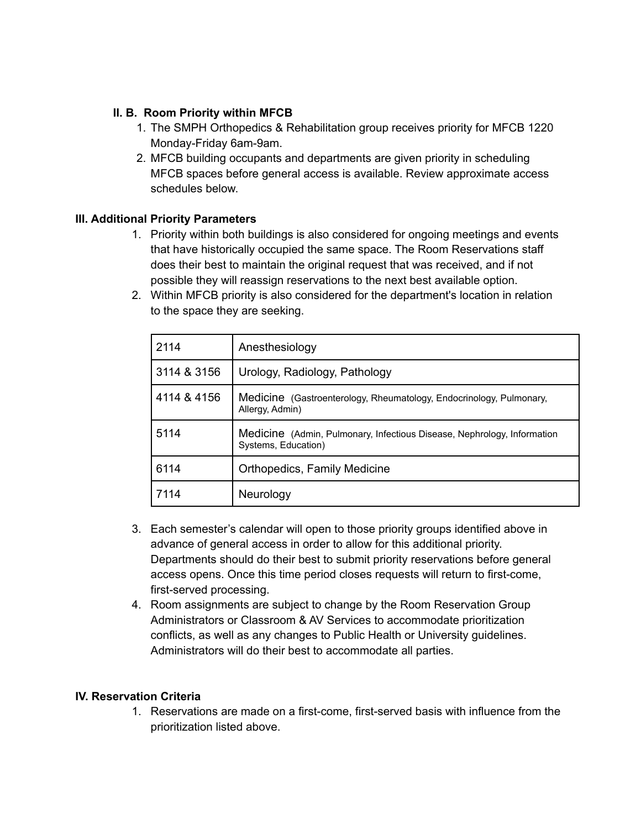#### **II. B. Room Priority within MFCB**

- 1. The SMPH Orthopedics & Rehabilitation group receives priority for MFCB 1220 Monday-Friday 6am-9am.
- 2. MFCB building occupants and departments are given priority in scheduling MFCB spaces before general access is available. Review approximate access schedules below.

## **III. Additional Priority Parameters**

- 1. Priority within both buildings is also considered for ongoing meetings and events that have historically occupied the same space. The Room Reservations staff does their best to maintain the original request that was received, and if not possible they will reassign reservations to the next best available option.
- 2. Within MFCB priority is also considered for the department's location in relation to the space they are seeking.

| 2114        | Anesthesiology                                                                                 |  |  |
|-------------|------------------------------------------------------------------------------------------------|--|--|
| 3114 & 3156 | Urology, Radiology, Pathology                                                                  |  |  |
| 4114 & 4156 | Medicine (Gastroenterology, Rheumatology, Endocrinology, Pulmonary,<br>Allergy, Admin)         |  |  |
| 5114        | Medicine (Admin, Pulmonary, Infectious Disease, Nephrology, Information<br>Systems, Education) |  |  |
| 6114        | Orthopedics, Family Medicine                                                                   |  |  |
| 7114        | Neurology                                                                                      |  |  |

- 3. Each semester's calendar will open to those priority groups identified above in advance of general access in order to allow for this additional priority. Departments should do their best to submit priority reservations before general access opens. Once this time period closes requests will return to first-come, first-served processing.
- 4. Room assignments are subject to change by the Room Reservation Group Administrators or Classroom & AV Services to accommodate prioritization conflicts, as well as any changes to Public Health or University guidelines. Administrators will do their best to accommodate all parties.

#### **IV. Reservation Criteria**

1. Reservations are made on a first-come, first-served basis with influence from the prioritization listed above.